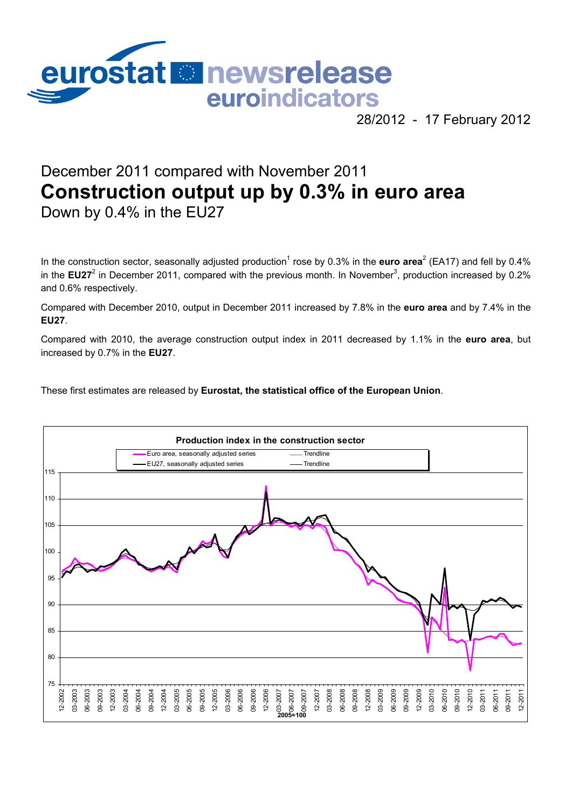

28/2012 - 17 February 2012

# December 2011 compared with November 2011 **Construction output up by 0.3% in euro area** Down by 0.4% in the EU27

In the construction sector, seasonally adjusted production<sup>1</sup> rose by 0.3% in the **euro area**<sup>2</sup> (EA17) and fell by 0.4% in the EU27<sup>2</sup> in December 2011, compared with the previous month. In November<sup>3</sup>, production increased by 0.2% and 0.6% respectively.

Compared with December 2010, output in December 2011 increased by 7.8% in the **euro area** and by 7.4% in the **EU27**.

Compared with 2010, the average construction output index in 2011 decreased by 1.1% in the **euro area**, but increased by 0.7% in the **EU27**.

These first estimates are released by **Eurostat, the statistical office of the European Union**.

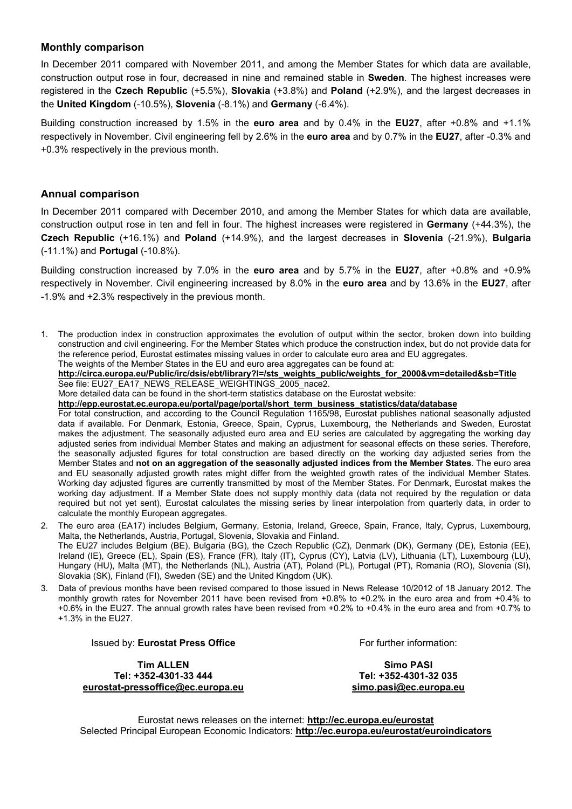#### **Monthly comparison**

In December 2011 compared with November 2011, and among the Member States for which data are available, construction output rose in four, decreased in nine and remained stable in **Sweden**. The highest increases were registered in the **Czech Republic** (+5.5%), **Slovakia** (+3.8%) and **Poland** (+2.9%), and the largest decreases in the **United Kingdom** (-10.5%), **Slovenia** (-8.1%) and **Germany** (-6.4%).

Building construction increased by 1.5% in the **euro area** and by 0.4% in the **EU27**, after +0.8% and +1.1% respectively in November. Civil engineering fell by 2.6% in the **euro area** and by 0.7% in the **EU27**, after -0.3% and +0.3% respectively in the previous month.

#### **Annual comparison**

In December 2011 compared with December 2010, and among the Member States for which data are available, construction output rose in ten and fell in four. The highest increases were registered in **Germany** (+44.3%), the **Czech Republic** (+16.1%) and **Poland** (+14.9%), and the largest decreases in **Slovenia** (-21.9%), **Bulgaria** (-11.1%) and **Portugal** (-10.8%).

Building construction increased by 7.0% in the **euro area** and by 5.7% in the **EU27**, after +0.8% and +0.9% respectively in November. Civil engineering increased by 8.0% in the **euro area** and by 13.6% in the **EU27**, after -1.9% and +2.3% respectively in the previous month.

1. The production index in construction approximates the evolution of output within the sector, broken down into building construction and civil engineering. For the Member States which produce the construction index, but do not provide data for the reference period, Eurostat estimates missing values in order to calculate euro area and EU aggregates. The weights of the Member States in the EU and euro area aggregates can be found at:

**[http://circa.europa.eu/Public/irc/dsis/ebt/library?l=/sts\\_weights\\_public/weights\\_for\\_2000&vm=detailed&sb=Title](http://circa.europa.eu/Public/irc/dsis/ebt/library?l=/sts_weights_public/weights_for_2000&vm=detailed&sb=Title)** See file: EU27\_EA17\_NEWS\_RELEASE\_WEIGHTINGS\_2005\_nace2.

More detailed data can be found in the short-term statistics database on the Eurostat website:

**[http://epp.eurostat.ec.europa.eu/portal/page/portal/short\\_term\\_business\\_statistics/data/database](http://epp.eurostat.ec.europa.eu/portal/page/portal/short_term_business_statistics/data/database)**

For total construction, and according to the Council Regulation 1165/98, Eurostat publishes national seasonally adjusted data if available. For Denmark, Estonia, Greece, Spain, Cyprus, Luxembourg, the Netherlands and Sweden, Eurostat makes the adjustment. The seasonally adjusted euro area and EU series are calculated by aggregating the working day adjusted series from individual Member States and making an adjustment for seasonal effects on these series. Therefore, the seasonally adjusted figures for total construction are based directly on the working day adjusted series from the Member States and **not on an aggregation of the seasonally adjusted indices from the Member States**. The euro area and EU seasonally adjusted growth rates might differ from the weighted growth rates of the individual Member States. Working day adjusted figures are currently transmitted by most of the Member States. For Denmark, Eurostat makes the working day adjustment. If a Member State does not supply monthly data (data not required by the regulation or data required but not yet sent), Eurostat calculates the missing series by linear interpolation from quarterly data, in order to calculate the monthly European aggregates.

- 2. The euro area (EA17) includes Belgium, Germany, Estonia, Ireland, Greece, Spain, France, Italy, Cyprus, Luxembourg, Malta, the Netherlands, Austria, Portugal, Slovenia, Slovakia and Finland. The EU27 includes Belgium (BE), Bulgaria (BG), the Czech Republic (CZ), Denmark (DK), Germany (DE), Estonia (EE), Ireland (IE), Greece (EL), Spain (ES), France (FR), Italy (IT), Cyprus (CY), Latvia (LV), Lithuania (LT), Luxembourg (LU), Hungary (HU), Malta (MT), the Netherlands (NL), Austria (AT), Poland (PL), Portugal (PT), Romania (RO), Slovenia (SI), Slovakia (SK), Finland (FI), Sweden (SE) and the United Kingdom (UK).
- 3. Data of previous months have been revised compared to those issued in News Release 10/2012 of 18 January 2012. The monthly growth rates for November 2011 have been revised from +0.8% to +0.2% in the euro area and from +0.4% to +0.6% in the EU27. The annual growth rates have been revised from +0.2% to +0.4% in the euro area and from +0.7% to +1.3% in the EU27.

Issued by: **Eurostat Press Office**

**Tim ALLEN Tel: +352-4301-33 444 [eurostat-pressoffice@ec.europa.eu](mailto:eurostat-pressoffice@ec.europa.eu)** For further information:

**Simo PASI Tel: +352-4301-32 035 [simo.pasi@ec.europa.eu](mailto:simo.PASI@ec.europa.eu)**

Eurostat news releases on the internet: **<http://ec.europa.eu/eurostat>** Selected Principal European Economic Indicators: **<http://ec.europa.eu/eurostat/euroindicators>**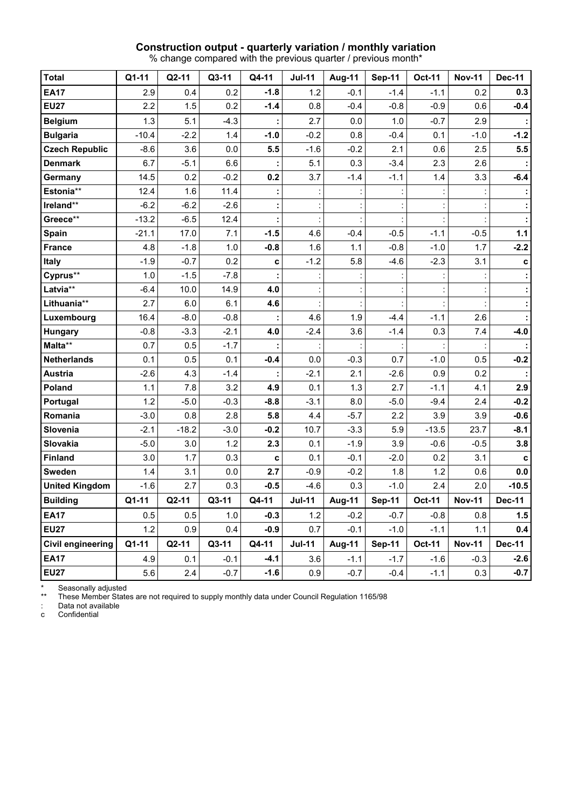# **Construction output - quarterly variation / monthly variation**

% change compared with the previous quarter / previous month\*

| <b>Total</b>             | Q1-11   | Q2-11   | Q3-11  | Q4-11  | <b>Jul-11</b> | Aug-11        | <b>Sep-11</b> | Oct-11        | <b>Nov-11</b> | <b>Dec-11</b> |
|--------------------------|---------|---------|--------|--------|---------------|---------------|---------------|---------------|---------------|---------------|
| <b>EA17</b>              | 2.9     | 0.4     | 0.2    | $-1.8$ | 1.2           | $-0.1$        | $-1.4$        | $-1.1$        | 0.2           | 0.3           |
| <b>EU27</b>              | 2.2     | 1.5     | 0.2    | $-1.4$ | 0.8           | $-0.4$        | $-0.8$        | $-0.9$        | 0.6           | $-0.4$        |
| <b>Belgium</b>           | 1.3     | 5.1     | $-4.3$ |        | 2.7           | 0.0           | 1.0           | $-0.7$        | 2.9           |               |
| <b>Bulgaria</b>          | $-10.4$ | $-2.2$  | 1.4    | $-1.0$ | $-0.2$        | 0.8           | $-0.4$        | 0.1           | $-1.0$        | $-1.2$        |
| <b>Czech Republic</b>    | $-8.6$  | 3.6     | 0.0    | 5.5    | $-1.6$        | $-0.2$        | 2.1           | 0.6           | 2.5           | 5.5           |
| <b>Denmark</b>           | 6.7     | $-5.1$  | 6.6    |        | 5.1           | 0.3           | $-3.4$        | 2.3           | 2.6           |               |
| Germany                  | 14.5    | 0.2     | $-0.2$ | 0.2    | 3.7           | $-1.4$        | $-1.1$        | 1.4           | 3.3           | $-6.4$        |
| Estonia**                | 12.4    | 1.6     | 11.4   |        |               |               |               |               |               |               |
| Ireland**                | $-6.2$  | $-6.2$  | $-2.6$ |        |               |               |               |               |               |               |
| Greece**                 | $-13.2$ | $-6.5$  | 12.4   |        |               |               |               |               |               |               |
| <b>Spain</b>             | $-21.1$ | 17.0    | 7.1    | $-1.5$ | 4.6           | $-0.4$        | $-0.5$        | $-1.1$        | $-0.5$        | 1.1           |
| <b>France</b>            | 4.8     | $-1.8$  | 1.0    | $-0.8$ | 1.6           | 1.1           | $-0.8$        | $-1.0$        | 1.7           | $-2.2$        |
| Italy                    | $-1.9$  | $-0.7$  | 0.2    | c      | $-1.2$        | 5.8           | $-4.6$        | $-2.3$        | 3.1           | c             |
| Cyprus**                 | 1.0     | $-1.5$  | $-7.8$ |        |               |               |               |               |               |               |
| Latvia**                 | $-6.4$  | 10.0    | 14.9   | 4.0    |               |               |               |               |               |               |
| Lithuania**              | 2.7     | 6.0     | 6.1    | 4.6    |               |               |               |               |               |               |
| Luxembourg               | 16.4    | $-8.0$  | $-0.8$ |        | 4.6           | 1.9           | $-4.4$        | $-1.1$        | 2.6           |               |
| Hungary                  | $-0.8$  | $-3.3$  | $-2.1$ | 4.0    | $-2.4$        | 3.6           | $-1.4$        | 0.3           | 7.4           | $-4.0$        |
| Malta**                  | 0.7     | 0.5     | $-1.7$ |        |               |               |               |               |               |               |
| <b>Netherlands</b>       | 0.1     | 0.5     | 0.1    | $-0.4$ | 0.0           | $-0.3$        | 0.7           | $-1.0$        | 0.5           | $-0.2$        |
| <b>Austria</b>           | $-2.6$  | 4.3     | $-1.4$ |        | $-2.1$        | 2.1           | $-2.6$        | 0.9           | 0.2           |               |
| Poland                   | 1.1     | 7.8     | 3.2    | 4.9    | 0.1           | 1.3           | 2.7           | $-1.1$        | 4.1           | 2.9           |
| Portugal                 | 1.2     | $-5.0$  | $-0.3$ | $-8.8$ | $-3.1$        | 8.0           | $-5.0$        | $-9.4$        | 2.4           | $-0.2$        |
| Romania                  | $-3.0$  | 0.8     | 2.8    | 5.8    | 4.4           | $-5.7$        | 2.2           | 3.9           | 3.9           | $-0.6$        |
| Slovenia                 | $-2.1$  | $-18.2$ | $-3.0$ | $-0.2$ | 10.7          | $-3.3$        | 5.9           | $-13.5$       | 23.7          | $-8.1$        |
| Slovakia                 | $-5.0$  | 3.0     | 1.2    | 2.3    | 0.1           | $-1.9$        | 3.9           | $-0.6$        | $-0.5$        | 3.8           |
| <b>Finland</b>           | 3.0     | 1.7     | 0.3    | C      | 0.1           | $-0.1$        | $-2.0$        | 0.2           | 3.1           | C             |
| <b>Sweden</b>            | 1.4     | 3.1     | 0.0    | 2.7    | $-0.9$        | $-0.2$        | 1.8           | 1.2           | 0.6           | 0.0           |
| <b>United Kingdom</b>    | $-1.6$  | 2.7     | 0.3    | $-0.5$ | $-4.6$        | 0.3           | $-1.0$        | 2.4           | 2.0           | $-10.5$       |
| <b>Building</b>          | $Q1-11$ | Q2-11   | Q3-11  | Q4-11  | <b>Jul-11</b> | <b>Aug-11</b> | <b>Sep-11</b> | <b>Oct-11</b> | <b>Nov-11</b> | <b>Dec-11</b> |
| <b>EA17</b>              | 0.5     | 0.5     | 1.0    | $-0.3$ | 1.2           | $-0.2$        | $-0.7$        | $-0.8$        | 0.8           | 1.5           |
| <b>EU27</b>              | 1.2     | 0.9     | 0.4    | $-0.9$ | 0.7           | $-0.1$        | $-1.0$        | $-1.1$        | 1.1           | 0.4           |
| <b>Civil engineering</b> | Q1-11   | Q2-11   | Q3-11  | Q4-11  | <b>Jul-11</b> | Aug-11        | <b>Sep-11</b> | <b>Oct-11</b> | <b>Nov-11</b> | <b>Dec-11</b> |
| <b>EA17</b>              | 4.9     | 0.1     | $-0.1$ | $-4.1$ | 3.6           | $-1.1$        | $-1.7$        | $-1.6$        | $-0.3$        | $-2.6$        |
| <b>EU27</b>              | 5.6     | 2.4     | $-0.7$ | $-1.6$ | 0.9           | $-0.7$        | $-0.4$        | $-1.1$        | 0.3           | $-0.7$        |

\* Seasonally adjusted

\*\* These Member States are not required to supply monthly data under Council Regulation 1165/98

: Data not available

c Confidential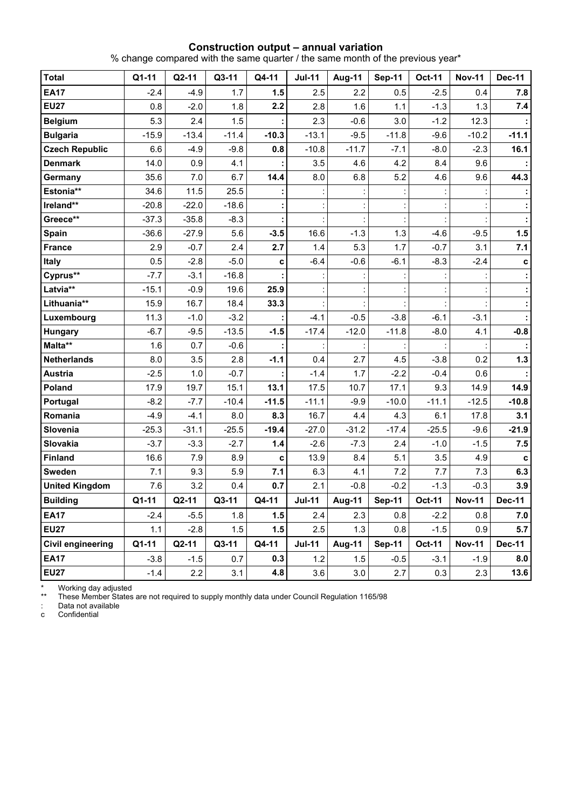#### **Construction output – annual variation**

% change compared with the same quarter / the same month of the previous year\*

| <b>Total</b>             | Q1-11   | $Q2-11$ | Q3-11   | Q4-11   | <b>Jul-11</b> | <b>Aug-11</b> | <b>Sep-11</b> | <b>Oct-11</b> | <b>Nov-11</b> | <b>Dec-11</b> |
|--------------------------|---------|---------|---------|---------|---------------|---------------|---------------|---------------|---------------|---------------|
| <b>EA17</b>              | $-2.4$  | $-4.9$  | 1.7     | 1.5     | 2.5           | 2.2           | 0.5           | $-2.5$        | 0.4           | 7.8           |
| <b>EU27</b>              | 0.8     | $-2.0$  | 1.8     | 2.2     | 2.8           | 1.6           | 1.1           | $-1.3$        | 1.3           | 7.4           |
| <b>Belgium</b>           | 5.3     | 2.4     | 1.5     |         | 2.3           | $-0.6$        | 3.0           | $-1.2$        | 12.3          |               |
| <b>Bulgaria</b>          | $-15.9$ | $-13.4$ | $-11.4$ | $-10.3$ | $-13.1$       | $-9.5$        | $-11.8$       | $-9.6$        | $-10.2$       | $-11.1$       |
| <b>Czech Republic</b>    | 6.6     | $-4.9$  | $-9.8$  | 0.8     | $-10.8$       | $-11.7$       | $-7.1$        | $-8.0$        | $-2.3$        | 16.1          |
| <b>Denmark</b>           | 14.0    | 0.9     | 4.1     |         | 3.5           | 4.6           | 4.2           | 8.4           | 9.6           |               |
| Germany                  | 35.6    | 7.0     | 6.7     | 14.4    | 8.0           | 6.8           | 5.2           | 4.6           | 9.6           | 44.3          |
| Estonia**                | 34.6    | 11.5    | 25.5    |         |               |               |               |               |               |               |
| Ireland**                | $-20.8$ | $-22.0$ | $-18.6$ |         |               |               |               |               |               |               |
| Greece**                 | $-37.3$ | $-35.8$ | $-8.3$  |         |               |               |               |               |               |               |
| Spain                    | $-36.6$ | $-27.9$ | 5.6     | $-3.5$  | 16.6          | $-1.3$        | 1.3           | $-4.6$        | $-9.5$        | 1.5           |
| <b>France</b>            | 2.9     | $-0.7$  | 2.4     | 2.7     | 1.4           | 5.3           | 1.7           | $-0.7$        | 3.1           | 7.1           |
| Italy                    | 0.5     | $-2.8$  | $-5.0$  | C       | $-6.4$        | $-0.6$        | $-6.1$        | $-8.3$        | $-2.4$        | c             |
| Cyprus**                 | $-7.7$  | $-3.1$  | $-16.8$ |         |               |               |               |               |               |               |
| Latvia**                 | $-15.1$ | $-0.9$  | 19.6    | 25.9    |               |               |               |               |               |               |
| Lithuania**              | 15.9    | 16.7    | 18.4    | 33.3    |               |               |               |               |               |               |
| Luxembourg               | 11.3    | $-1.0$  | $-3.2$  |         | $-4.1$        | $-0.5$        | $-3.8$        | $-6.1$        | $-3.1$        |               |
| Hungary                  | $-6.7$  | $-9.5$  | $-13.5$ | $-1.5$  | $-17.4$       | $-12.0$       | $-11.8$       | $-8.0$        | 4.1           | $-0.8$        |
| Malta**                  | 1.6     | 0.7     | $-0.6$  |         |               |               |               |               |               |               |
| <b>Netherlands</b>       | 8.0     | 3.5     | 2.8     | $-1.1$  | 0.4           | 2.7           | 4.5           | $-3.8$        | 0.2           | $1.3$         |
| <b>Austria</b>           | $-2.5$  | 1.0     | $-0.7$  |         | $-1.4$        | 1.7           | $-2.2$        | $-0.4$        | 0.6           |               |
| Poland                   | 17.9    | 19.7    | 15.1    | 13.1    | 17.5          | 10.7          | 17.1          | 9.3           | 14.9          | 14.9          |
| Portugal                 | $-8.2$  | $-7.7$  | $-10.4$ | $-11.5$ | $-11.1$       | $-9.9$        | $-10.0$       | $-11.1$       | $-12.5$       | $-10.8$       |
| Romania                  | $-4.9$  | $-4.1$  | 8.0     | 8.3     | 16.7          | 4.4           | 4.3           | 6.1           | 17.8          | 3.1           |
| Slovenia                 | $-25.3$ | $-31.1$ | $-25.5$ | $-19.4$ | $-27.0$       | $-31.2$       | $-17.4$       | $-25.5$       | $-9.6$        | $-21.9$       |
| Slovakia                 | $-3.7$  | $-3.3$  | $-2.7$  | 1.4     | $-2.6$        | $-7.3$        | 2.4           | $-1.0$        | $-1.5$        | 7.5           |
| <b>Finland</b>           | 16.6    | 7.9     | 8.9     | C       | 13.9          | 8.4           | 5.1           | 3.5           | 4.9           | C             |
| Sweden                   | 7.1     | 9.3     | 5.9     | 7.1     | 6.3           | 4.1           | 7.2           | 7.7           | 7.3           | 6.3           |
| <b>United Kingdom</b>    | 7.6     | 3.2     | 0.4     | 0.7     | 2.1           | $-0.8$        | $-0.2$        | $-1.3$        | $-0.3$        | 3.9           |
| <b>Building</b>          | $Q1-11$ | $Q2-11$ | Q3-11   | Q4-11   | <b>Jul-11</b> | <b>Aug-11</b> | <b>Sep-11</b> | <b>Oct-11</b> | <b>Nov-11</b> | Dec-11        |
| <b>EA17</b>              | $-2.4$  | $-5.5$  | 1.8     | 1.5     | 2.4           | 2.3           | 0.8           | $-2.2$        | 0.8           | 7.0           |
| <b>EU27</b>              | 1.1     | $-2.8$  | 1.5     | 1.5     | 2.5           | 1.3           | 0.8           | $-1.5$        | 0.9           | 5.7           |
| <b>Civil engineering</b> | Q1-11   | Q2-11   | Q3-11   | Q4-11   | <b>Jul-11</b> | Aug-11        | <b>Sep-11</b> | <b>Oct-11</b> | <b>Nov-11</b> | <b>Dec-11</b> |
| <b>EA17</b>              | $-3.8$  | $-1.5$  | 0.7     | 0.3     | 1.2           | 1.5           | $-0.5$        | $-3.1$        | $-1.9$        | 8.0           |
| <b>EU27</b>              | $-1.4$  | 2.2     | 3.1     | 4.8     | 3.6           | 3.0           | 2.7           | 0.3           | 2.3           | 13.6          |

\* Working day adjusted

\*\* These Member States are not required to supply monthly data under Council Regulation 1165/98

: Data not available

c Confidential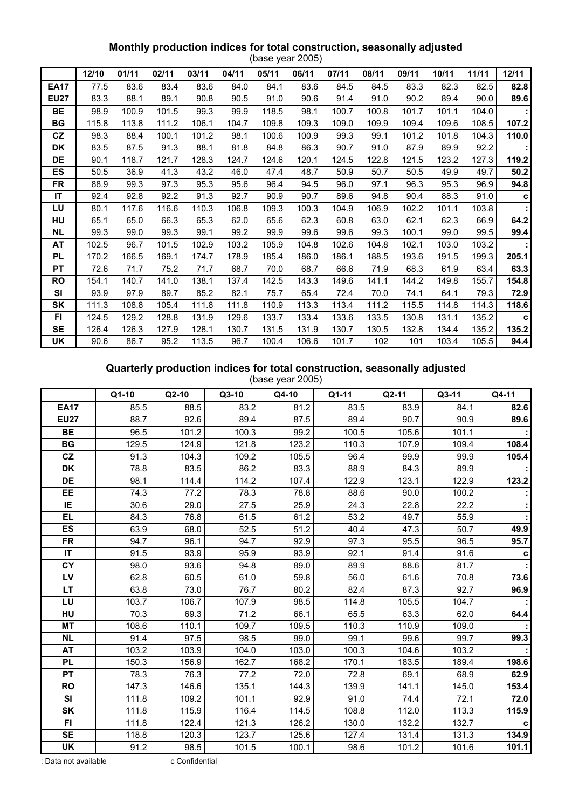## **Monthly production indices for total construction, seasonally adjusted**

|             | (base year 2005) |       |       |       |       |       |       |       |       |       |       |       |       |
|-------------|------------------|-------|-------|-------|-------|-------|-------|-------|-------|-------|-------|-------|-------|
|             | 12/10            | 01/11 | 02/11 | 03/11 | 04/11 | 05/11 | 06/11 | 07/11 | 08/11 | 09/11 | 10/11 | 11/11 | 12/11 |
| <b>EA17</b> | 77.5             | 83.6  | 83.4  | 83.6  | 84.0  | 84.1  | 83.6  | 84.5  | 84.5  | 83.3  | 82.3  | 82.5  | 82.8  |
| <b>EU27</b> | 83.3             | 88.1  | 89.1  | 90.8  | 90.5  | 91.0  | 90.6  | 91.4  | 91.0  | 90.2  | 89.4  | 90.0  | 89.6  |
| BE          | 98.9             | 100.9 | 101.5 | 99.3  | 99.9  | 118.5 | 98.1  | 100.7 | 100.8 | 101.7 | 101.1 | 104.0 |       |
| BG          | 115.8            | 113.8 | 111.2 | 106.1 | 104.7 | 109.8 | 109.3 | 109.0 | 109.9 | 109.4 | 109.6 | 108.5 | 107.2 |
| CZ          | 98.3             | 88.4  | 100.1 | 101.2 | 98.1  | 100.6 | 100.9 | 99.3  | 99.1  | 101.2 | 101.8 | 104.3 | 110.0 |
| DK          | 83.5             | 87.5  | 91.3  | 88.1  | 81.8  | 84.8  | 86.3  | 90.7  | 91.0  | 87.9  | 89.9  | 92.2  |       |
| DE          | 90.1             | 118.7 | 121.7 | 128.3 | 124.7 | 124.6 | 120.1 | 124.5 | 122.8 | 121.5 | 123.2 | 127.3 | 119.2 |
| ES          | 50.5             | 36.9  | 41.3  | 43.2  | 46.0  | 47.4  | 48.7  | 50.9  | 50.7  | 50.5  | 49.9  | 49.7  | 50.2  |
| <b>FR</b>   | 88.9             | 99.3  | 97.3  | 95.3  | 95.6  | 96.4  | 94.5  | 96.0  | 97.1  | 96.3  | 95.3  | 96.9  | 94.8  |
| IT          | 92.4             | 92.8  | 92.2  | 91.3  | 92.7  | 90.9  | 90.7  | 89.6  | 94.8  | 90.4  | 88.3  | 91.0  | C     |
| LU          | 80.1             | 117.6 | 116.6 | 110.3 | 106.8 | 109.3 | 100.3 | 104.9 | 106.9 | 102.2 | 101.1 | 103.8 |       |
| HU          | 65.1             | 65.0  | 66.3  | 65.3  | 62.0  | 65.6  | 62.3  | 60.8  | 63.0  | 62.1  | 62.3  | 66.9  | 64.2  |
| <b>NL</b>   | 99.3             | 99.0  | 99.3  | 99.1  | 99.2  | 99.9  | 99.6  | 99.6  | 99.3  | 100.1 | 99.0  | 99.5  | 99.4  |
| AT          | 102.5            | 96.7  | 101.5 | 102.9 | 103.2 | 105.9 | 104.8 | 102.6 | 104.8 | 102.1 | 103.0 | 103.2 |       |
| <b>PL</b>   | 170.2            | 166.5 | 169.1 | 174.7 | 178.9 | 185.4 | 186.0 | 186.1 | 188.5 | 193.6 | 191.5 | 199.3 | 205.1 |
| <b>PT</b>   | 72.6             | 71.7  | 75.2  | 71.7  | 68.7  | 70.0  | 68.7  | 66.6  | 71.9  | 68.3  | 61.9  | 63.4  | 63.3  |
| <b>RO</b>   | 154.1            | 140.7 | 141.0 | 138.1 | 137.4 | 142.5 | 143.3 | 149.6 | 141.1 | 144.2 | 149.8 | 155.7 | 154.8 |
| <b>SI</b>   | 93.9             | 97.9  | 89.7  | 85.2  | 82.1  | 75.7  | 65.4  | 72.4  | 70.0  | 74.1  | 64.1  | 79.3  | 72.9  |
| SK          | 111.3            | 108.8 | 105.4 | 111.8 | 111.8 | 110.9 | 113.3 | 113.4 | 111.2 | 115.5 | 114.8 | 114.3 | 118.6 |
| FI          | 124.5            | 129.2 | 128.8 | 131.9 | 129.6 | 133.7 | 133.4 | 133.6 | 133.5 | 130.8 | 131.1 | 135.2 | C     |
| <b>SE</b>   | 126.4            | 126.3 | 127.9 | 128.1 | 130.7 | 131.5 | 131.9 | 130.7 | 130.5 | 132.8 | 134.4 | 135.2 | 135.2 |
| UK          | 90.6             | 86.7  | 95.2  | 113.5 | 96.7  | 100.4 | 106.6 | 101.7 | 102   | 101   | 103.4 | 105.5 | 94.4  |

# **Quarterly production indices for total construction, seasonally adjusted**

(base year 2005)

|             | Q1-10 | $Q2-10$ | Q3-10 | Q4-10 | Q1-11 | $Q2-11$ | Q3-11 | Q4-11 |
|-------------|-------|---------|-------|-------|-------|---------|-------|-------|
| <b>EA17</b> | 85.5  | 88.5    | 83.2  | 81.2  | 83.5  | 83.9    | 84.1  | 82.6  |
| <b>EU27</b> | 88.7  | 92.6    | 89.4  | 87.5  | 89.4  | 90.7    | 90.9  | 89.6  |
| <b>BE</b>   | 96.5  | 101.2   | 100.3 | 99.2  | 100.5 | 105.6   | 101.1 |       |
| BG          | 129.5 | 124.9   | 121.8 | 123.2 | 110.3 | 107.9   | 109.4 | 108.4 |
| CZ          | 91.3  | 104.3   | 109.2 | 105.5 | 96.4  | 99.9    | 99.9  | 105.4 |
| <b>DK</b>   | 78.8  | 83.5    | 86.2  | 83.3  | 88.9  | 84.3    | 89.9  |       |
| DE          | 98.1  | 114.4   | 114.2 | 107.4 | 122.9 | 123.1   | 122.9 | 123.2 |
| EE.         | 74.3  | 77.2    | 78.3  | 78.8  | 88.6  | 90.0    | 100.2 |       |
| IE          | 30.6  | 29.0    | 27.5  | 25.9  | 24.3  | 22.8    | 22.2  |       |
| EL.         | 84.3  | 76.8    | 61.5  | 61.2  | 53.2  | 49.7    | 55.9  |       |
| <b>ES</b>   | 63.9  | 68.0    | 52.5  | 51.2  | 40.4  | 47.3    | 50.7  | 49.9  |
| <b>FR</b>   | 94.7  | 96.1    | 94.7  | 92.9  | 97.3  | 95.5    | 96.5  | 95.7  |
| IT          | 91.5  | 93.9    | 95.9  | 93.9  | 92.1  | 91.4    | 91.6  | c     |
| CY          | 98.0  | 93.6    | 94.8  | 89.0  | 89.9  | 88.6    | 81.7  |       |
| LV          | 62.8  | 60.5    | 61.0  | 59.8  | 56.0  | 61.6    | 70.8  | 73.6  |
| LT          | 63.8  | 73.0    | 76.7  | 80.2  | 82.4  | 87.3    | 92.7  | 96.9  |
| LU          | 103.7 | 106.7   | 107.9 | 98.5  | 114.8 | 105.5   | 104.7 |       |
| HU          | 70.3  | 69.3    | 71.2  | 66.1  | 65.5  | 63.3    | 62.0  | 64.4  |
| <b>MT</b>   | 108.6 | 110.1   | 109.7 | 109.5 | 110.3 | 110.9   | 109.0 |       |
| <b>NL</b>   | 91.4  | 97.5    | 98.5  | 99.0  | 99.1  | 99.6    | 99.7  | 99.3  |
| AT          | 103.2 | 103.9   | 104.0 | 103.0 | 100.3 | 104.6   | 103.2 |       |
| <b>PL</b>   | 150.3 | 156.9   | 162.7 | 168.2 | 170.1 | 183.5   | 189.4 | 198.6 |
| <b>PT</b>   | 78.3  | 76.3    | 77.2  | 72.0  | 72.8  | 69.1    | 68.9  | 62.9  |
| <b>RO</b>   | 147.3 | 146.6   | 135.1 | 144.3 | 139.9 | 141.1   | 145.0 | 153.4 |
| <b>SI</b>   | 111.8 | 109.2   | 101.1 | 92.9  | 91.0  | 74.4    | 72.1  | 72.0  |
| SK          | 111.8 | 115.9   | 116.4 | 114.5 | 108.8 | 112.0   | 113.3 | 115.9 |
| FI          | 111.8 | 122.4   | 121.3 | 126.2 | 130.0 | 132.2   | 132.7 |       |
| <b>SE</b>   | 118.8 | 120.3   | 123.7 | 125.6 | 127.4 | 131.4   | 131.3 | 134.9 |
| <b>UK</b>   | 91.2  | 98.5    | 101.5 | 100.1 | 98.6  | 101.2   | 101.6 | 101.1 |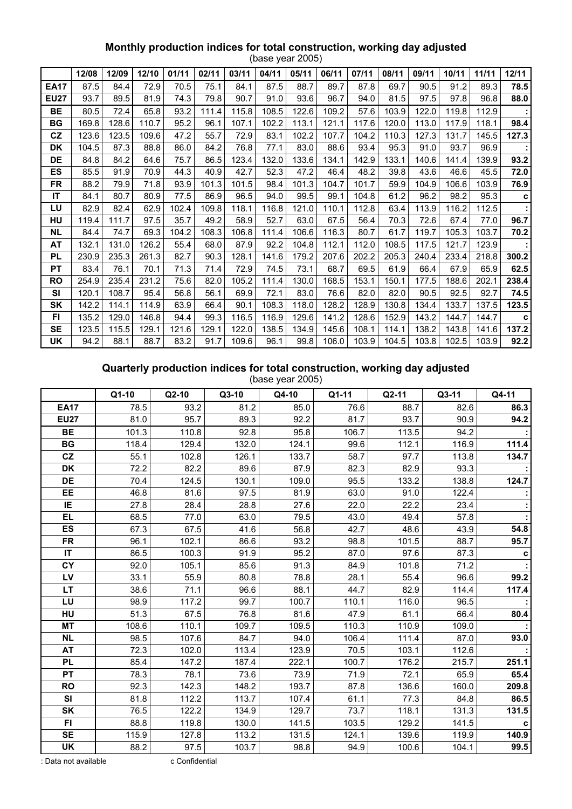## **Monthly production indices for total construction, working day adjusted**

|             | (base year 2005) |       |       |       |       |       |       |       |       |       |       |       |       |       |             |
|-------------|------------------|-------|-------|-------|-------|-------|-------|-------|-------|-------|-------|-------|-------|-------|-------------|
|             | 12/08            | 12/09 | 12/10 | 01/11 | 02/11 | 03/11 | 04/11 | 05/11 | 06/11 | 07/11 | 08/11 | 09/11 | 10/11 | 11/11 | 12/11       |
| <b>EA17</b> | 87.5             | 84.4  | 72.9  | 70.5  | 75.1  | 84.1  | 87.5  | 88.7  | 89.7  | 87.8  | 69.7  | 90.5  | 91.2  | 89.3  | 78.5        |
| <b>EU27</b> | 93.7             | 89.5  | 81.9  | 74.3  | 79.8  | 90.7  | 91.0  | 93.6  | 96.7  | 94.0  | 81.5  | 97.5  | 97.8  | 96.8  | 88.0        |
| BE          | 80.5             | 72.4  | 65.8  | 93.2  | 111.4 | 115.8 | 108.5 | 122.6 | 109.2 | 57.6  | 103.9 | 122.0 | 119.8 | 112.9 |             |
| BG          | 169.8            | 128.6 | 110.7 | 95.2  | 96.1  | 107.1 | 102.2 | 113.1 | 121.1 | 117.6 | 120.0 | 113.0 | 117.9 | 118.1 | 98.4        |
| <b>CZ</b>   | 123.6            | 123.5 | 109.6 | 47.2  | 55.7  | 72.9  | 83.1  | 102.2 | 107.7 | 104.2 | 110.3 | 127.3 | 131.7 | 145.5 | 127.3       |
| <b>DK</b>   | 104.5            | 87.3  | 88.8  | 86.0  | 84.2  | 76.8  | 77.1  | 83.0  | 88.6  | 93.4  | 95.3  | 91.0  | 93.7  | 96.9  |             |
| DE          | 84.8             | 84.2  | 64.6  | 75.7  | 86.5  | 123.4 | 132.0 | 133.6 | 134.1 | 142.9 | 133.1 | 140.6 | 141.4 | 139.9 | 93.2        |
| ES          | 85.5             | 91.9  | 70.9  | 44.3  | 40.9  | 42.7  | 52.3  | 47.2  | 46.4  | 48.2  | 39.8  | 43.6  | 46.6  | 45.5  | 72.0        |
| FR          | 88.2             | 79.9  | 71.8  | 93.9  | 101.3 | 101.5 | 98.4  | 101.3 | 104.7 | 101.7 | 59.9  | 104.9 | 106.6 | 103.9 | 76.9        |
| IT          | 84.1             | 80.7  | 80.9  | 77.5  | 86.9  | 96.5  | 94.0  | 99.5  | 99.1  | 104.8 | 61.2  | 96.2  | 98.2  | 95.3  | $\mathbf c$ |
| LU          | 82.9             | 82.4  | 62.9  | 102.4 | 109.8 | 118.1 | 116.8 | 121.0 | 110.1 | 112.8 | 63.4  | 113.9 | 116.2 | 112.5 |             |
| HU          | 119.4            | 111.7 | 97.5  | 35.7  | 49.2  | 58.9  | 52.7  | 63.0  | 67.5  | 56.4  | 70.3  | 72.6  | 67.4  | 77.0  | 96.7        |
| <b>NL</b>   | 84.4             | 74.7  | 69.3  | 104.2 | 108.3 | 106.8 | 111.4 | 106.6 | 116.3 | 80.7  | 61.7  | 119.7 | 105.3 | 103.7 | 70.2        |
| AT          | 132.1            | 131.0 | 126.2 | 55.4  | 68.0  | 87.9  | 92.2  | 104.8 | 112.1 | 112.0 | 108.5 | 117.5 | 121.7 | 123.9 |             |
| PL          | 230.9            | 235.3 | 261.3 | 82.7  | 90.3  | 128.1 | 141.6 | 179.2 | 207.6 | 202.2 | 205.3 | 240.4 | 233.4 | 218.8 | 300.2       |
| <b>PT</b>   | 83.4             | 76.1  | 70.1  | 71.3  | 71.4  | 72.9  | 74.5  | 73.1  | 68.7  | 69.5  | 61.9  | 66.4  | 67.9  | 65.9  | 62.5        |
| <b>RO</b>   | 254.9            | 235.4 | 231.2 | 75.6  | 82.0  | 105.2 | 111.4 | 130.0 | 168.5 | 153.1 | 150.1 | 177.5 | 188.6 | 202.1 | 238.4       |
| <b>SI</b>   | 120.1            | 108.7 | 95.4  | 56.8  | 56.1  | 69.9  | 72.1  | 83.0  | 76.6  | 82.0  | 82.0  | 90.5  | 92.5  | 92.7  | 74.5        |
| SK          | 142.2            | 114.1 | 114.9 | 63.9  | 66.4  | 90.1  | 108.3 | 118.0 | 128.2 | 128.9 | 130.8 | 134.4 | 133.7 | 137.5 | 123.5       |
| <b>FI</b>   | 135.2            | 129.0 | 146.8 | 94.4  | 99.3  | 116.5 | 116.9 | 129.6 | 141.2 | 128.6 | 152.9 | 143.2 | 144.7 | 144.7 | C           |
| <b>SE</b>   | 123.5            | 115.5 | 129.1 | 121.6 | 129.1 | 122.0 | 138.5 | 134.9 | 145.6 | 108.1 | 114.1 | 138.2 | 143.8 | 141.6 | 137.2       |
| <b>UK</b>   | 94.2             | 88.1  | 88.7  | 83.2  | 91.7  | 109.6 | 96.1  | 99.8  | 106.0 | 103.9 | 104.5 | 103.8 | 102.5 | 103.9 | 92.2        |

# **Quarterly production indices for total construction, working day adjusted**

|             |         |         |         | $\sqrt{2000}$ your $\pm 000$ |       |         |       |       |
|-------------|---------|---------|---------|------------------------------|-------|---------|-------|-------|
|             | $Q1-10$ | $Q2-10$ | $Q3-10$ | Q4-10                        | Q1-11 | $Q2-11$ | Q3-11 | Q4-11 |
| <b>EA17</b> | 78.5    | 93.2    | 81.2    | 85.0                         | 76.6  | 88.7    | 82.6  | 86.3  |
| <b>EU27</b> | 81.0    | 95.7    | 89.3    | 92.2                         | 81.7  | 93.7    | 90.9  | 94.2  |
| <b>BE</b>   | 101.3   | 110.8   | 92.8    | 95.8                         | 106.7 | 113.5   | 94.2  |       |
| <b>BG</b>   | 118.4   | 129.4   | 132.0   | 124.1                        | 99.6  | 112.1   | 116.9 | 111.4 |
| cz          | 55.1    | 102.8   | 126.1   | 133.7                        | 58.7  | 97.7    | 113.8 | 134.7 |
| <b>DK</b>   | 72.2    | 82.2    | 89.6    | 87.9                         | 82.3  | 82.9    | 93.3  |       |
| <b>DE</b>   | 70.4    | 124.5   | 130.1   | 109.0                        | 95.5  | 133.2   | 138.8 | 124.7 |
| EE          | 46.8    | 81.6    | 97.5    | 81.9                         | 63.0  | 91.0    | 122.4 |       |
| IE.         | 27.8    | 28.4    | 28.8    | 27.6                         | 22.0  | 22.2    | 23.4  |       |
| EL.         | 68.5    | 77.0    | 63.0    | 79.5                         | 43.0  | 49.4    | 57.8  |       |
| <b>ES</b>   | 67.3    | 67.5    | 41.6    | 56.8                         | 42.7  | 48.6    | 43.9  | 54.8  |
| FR          | 96.1    | 102.1   | 86.6    | 93.2                         | 98.8  | 101.5   | 88.7  | 95.7  |
| <b>IT</b>   | 86.5    | 100.3   | 91.9    | 95.2                         | 87.0  | 97.6    | 87.3  | C     |
| CY          | 92.0    | 105.1   | 85.6    | 91.3                         | 84.9  | 101.8   | 71.2  |       |
| LV          | 33.1    | 55.9    | 80.8    | 78.8                         | 28.1  | 55.4    | 96.6  | 99.2  |
| <b>LT</b>   | 38.6    | 71.1    | 96.6    | 88.1                         | 44.7  | 82.9    | 114.4 | 117.4 |
| LU          | 98.9    | 117.2   | 99.7    | 100.7                        | 110.1 | 116.0   | 96.5  |       |
| <b>HU</b>   | 51.3    | 67.5    | 76.8    | 81.6                         | 47.9  | 61.1    | 66.4  | 80.4  |
| <b>MT</b>   | 108.6   | 110.1   | 109.7   | 109.5                        | 110.3 | 110.9   | 109.0 |       |
| <b>NL</b>   | 98.5    | 107.6   | 84.7    | 94.0                         | 106.4 | 111.4   | 87.0  | 93.0  |
| <b>AT</b>   | 72.3    | 102.0   | 113.4   | 123.9                        | 70.5  | 103.1   | 112.6 |       |
| <b>PL</b>   | 85.4    | 147.2   | 187.4   | 222.1                        | 100.7 | 176.2   | 215.7 | 251.1 |
| <b>PT</b>   | 78.3    | 78.1    | 73.6    | 73.9                         | 71.9  | 72.1    | 65.9  | 65.4  |
| <b>RO</b>   | 92.3    | 142.3   | 148.2   | 193.7                        | 87.8  | 136.6   | 160.0 | 209.8 |
| <b>SI</b>   | 81.8    | 112.2   | 113.7   | 107.4                        | 61.1  | 77.3    | 84.8  | 86.5  |
| <b>SK</b>   | 76.5    | 122.2   | 134.9   | 129.7                        | 73.7  | 118.1   | 131.3 | 131.5 |
| FI.         | 88.8    | 119.8   | 130.0   | 141.5                        | 103.5 | 129.2   | 141.5 | c     |
| <b>SE</b>   | 115.9   | 127.8   | 113.2   | 131.5                        | 124.1 | 139.6   | 119.9 | 140.9 |
| <b>UK</b>   | 88.2    | 97.5    | 103.7   | 98.8                         | 94.9  | 100.6   | 104.1 | 99.5  |

(base year 2005)